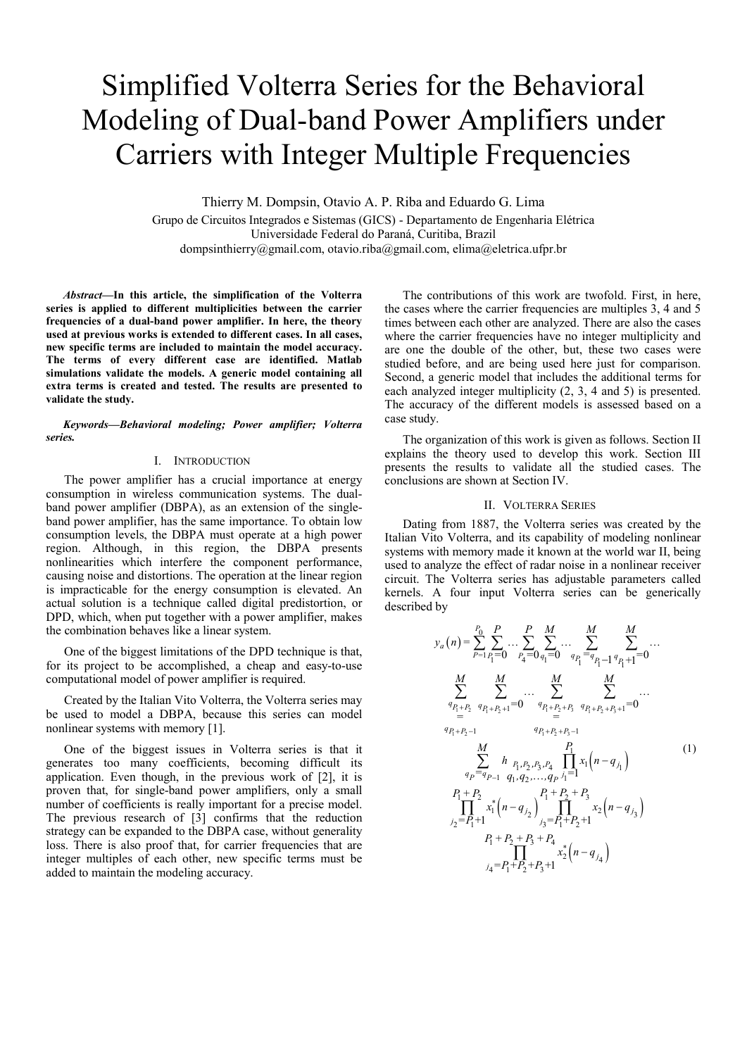# Simplified Volterra Series for the Behavioral Modeling of Dual-band Power Amplifiers under Carriers with Integer Multiple Frequencies

Thierry M. Dompsin, Otavio A. P. Riba and Eduardo G. Lima

Grupo de Circuitos Integrados e Sistemas (GICS) - Departamento de Engenharia Elétrica Universidade Federal do Paraná, Curitiba, Brazil dompsinthierry@gmail.com, otavio.riba@gmail.com, elima@eletrica.ufpr.br

*Abstract***—In this article, the simplification of the Volterra series is applied to different multiplicities between the carrier frequencies of a dual-band power amplifier. In here, the theory used at previous works is extended to different cases. In all cases, new specific terms are included to maintain the model accuracy. The terms of every different case are identified. Matlab simulations validate the models. A generic model containing all extra terms is created and tested. The results are presented to validate the study.**

#### *Keywords—Behavioral modeling; Power amplifier; Volterra series.*

## I. INTRODUCTION

The power amplifier has a crucial importance at energy consumption in wireless communication systems. The dualband power amplifier (DBPA), as an extension of the singleband power amplifier, has the same importance. To obtain low consumption levels, the DBPA must operate at a high power region. Although, in this region, the DBPA presents nonlinearities which interfere the component performance, causing noise and distortions. The operation at the linear region is impracticable for the energy consumption is elevated. An actual solution is a technique called digital predistortion, or DPD, which, when put together with a power amplifier, makes the combination behaves like a linear system.

One of the biggest limitations of the DPD technique is that, for its project to be accomplished, a cheap and easy-to-use computational model of power amplifier is required.

Created by the Italian Vito Volterra, the Volterra series may be used to model a DBPA, because this series can model nonlinear systems with memory [1].

One of the biggest issues in Volterra series is that it generates too many coefficients, becoming difficult its application. Even though, in the previous work of [2], it is proven that, for single-band power amplifiers, only a small number of coefficients is really important for a precise model. The previous research of [3] confirms that the reduction strategy can be expanded to the DBPA case, without generality loss. There is also proof that, for carrier frequencies that are integer multiples of each other, new specific terms must be added to maintain the modeling accuracy.

The contributions of this work are twofold. First, in here, the cases where the carrier frequencies are multiples 3, 4 and 5 times between each other are analyzed. There are also the cases where the carrier frequencies have no integer multiplicity and are one the double of the other, but, these two cases were studied before, and are being used here just for comparison. Second, a generic model that includes the additional terms for each analyzed integer multiplicity (2, 3, 4 and 5) is presented. The accuracy of the different models is assessed based on a case study.

The organization of this work is given as follows. Section II explains the theory used to develop this work. Section III presents the results to validate all the studied cases. The conclusions are shown at Section IV.

#### II. VOLTERRA SERIES

Dating from 1887, the Volterra series was created by the Italian Vito Volterra, and its capability of modeling nonlinear systems with memory made it known at the world war II, being used to analyze the effect of radar noise in a nonlinear receiver circuit. The Volterra series has adjustable parameters called kernels. A four input Volterra series can be generically described by

$$
y_{a}(n) = \sum_{P=1}^{P_{0}} \sum_{P_{1}=1}^{P} \dots \sum_{P_{4}=0}^{P} \sum_{q_{1}=0}^{M} \dots \sum_{q_{P_{1}}=q}^{M} \sum_{q_{1}-1}^{M} \dots
$$
  
\n
$$
\sum_{q_{P_{1}+P_{2}}}^{M} \sum_{q_{P_{1}+P_{2}+1}=0}^{M} \dots \sum_{q_{P_{1}+P_{2}+P_{3}}}^{M} \sum_{q_{P_{1}+P_{2}+P_{3}+1}=0}^{M} \dots
$$
  
\n
$$
y_{P_{1}+P_{2}-1}^{M} \sum_{q_{P_{1}+P_{2}+P_{3}-1}}^{M} \dots
$$
  
\n
$$
\sum_{q_{P}=q_{P-1}}^{M} \sum_{q_{1},q_{2},...,q_{P} \neq 1}^{P_{1}} \prod_{j=1}^{P_{1}} x_{1}(n-q_{j_{1}})
$$
  
\n
$$
P_{1}+P_{2}
$$
  
\n
$$
\prod_{j_{2}=P_{1}+1}^{P_{1}+P_{2}+P_{3}+P_{4}} x_{2}(n-q_{j_{3}})
$$
  
\n
$$
P_{1}+P_{2}+P_{3}+P_{4}
$$
  
\n
$$
P_{1}+P_{2}+P_{3}+P_{4}
$$
  
\n
$$
y_{4}=P_{1}+P_{2}+P_{3}+1
$$
  
\n
$$
y_{5}=P_{1}+P_{2}+P_{3}+1
$$
  
\n
$$
y_{6}=P_{1}+P_{2}+P_{3}+P_{4}
$$
  
\n
$$
y_{7}=P_{1}+P_{2}+P_{3}+P_{4}
$$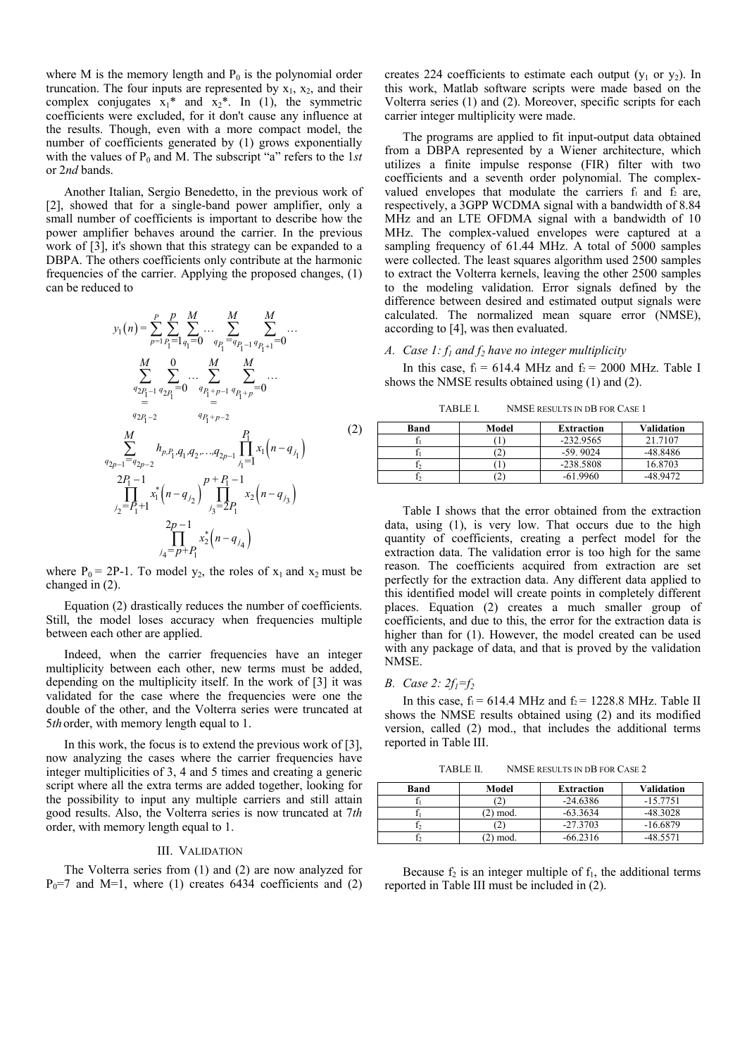where M is the memory length and  $P_0$  is the polynomial order truncation. The four inputs are represented by  $x_1$ ,  $x_2$ , and their complex conjugates  $x_1^*$  and  $x_2^*$ . In (1), the symmetric coefficients were excluded, for it don't cause any influence at the results. Though, even with a more compact model, the number of coefficients generated by (1) grows exponentially with the values of  $P_0$  and M. The subscript "a" refers to the 1*st* or 2*nd* bands.

Another Italian, Sergio Benedetto, in the previous work of [2], showed that for a single-band power amplifier, only a small number of coefficients is important to describe how the power amplifier behaves around the carrier. In the previous work of [3], it's shown that this strategy can be expanded to a DBPA. The others coefficients only contribute at the harmonic frequencies of the carrier. Applying the proposed changes, (1) can be reduced to

$$
y_{1}(n) = \sum_{p=1}^{P} \sum_{P_{1}=1}^{P} \sum_{q_{1}=0}^{M} \cdots \sum_{q_{P_{1}=1}^{P} q_{P_{1}+1}=0}^{M} \cdots
$$
  
\n
$$
\sum_{q=1}^{M} \sum_{q_{2P_{1}=1}}^{0} \cdots \sum_{q_{P_{1}=P_{1}=1}}^{M} \sum_{q_{P_{1}+P}=0}^{M} \cdots
$$
  
\n
$$
y_{2P_{1}=2}}^{M} \cdots \sum_{q_{P_{1}=2}}^{q_{P_{1}=P_{1}=1}} \cdots
$$
  
\n
$$
\sum_{q_{2P-1}=q_{2P-2}}^{M} h_{p,P_{1},q_{1},q_{2},\ldots,q_{2P-1}} \prod_{j_{1}=1}^{P_{1}} x_{1}(n-q_{j_{1}})
$$
  
\n
$$
y_{2P-1}=q_{2P-2}
$$
  
\n
$$
\sum_{j_{2}=P_{1}+1}^{2} x_{1}^{*} (n-q_{j_{2}})^{P+P_{1}-1} x_{2}(n-q_{j_{3}})
$$
  
\n
$$
y_{2P-1} = \prod_{j_{4}=P+P_{1}}^{2} x_{2}^{*} (n-q_{j_{4}})
$$
  
\n(2)

where  $P_0 = 2P-1$ . To model  $y_2$ , the roles of  $x_1$  and  $x_2$  must be changed in (2).

 Equation (2) drastically reduces the number of coefficients. Still, the model loses accuracy when frequencies multiple between each other are applied.

 Indeed, when the carrier frequencies have an integer multiplicity between each other, new terms must be added, depending on the multiplicity itself. In the work of [3] it was validated for the case where the frequencies were one the double of the other, and the Volterra series were truncated at 5*th*order, with memory length equal to 1.

 In this work, the focus is to extend the previous work of [3], now analyzing the cases where the carrier frequencies have integer multiplicities of 3, 4 and 5 times and creating a generic script where all the extra terms are added together, looking for the possibility to input any multiple carriers and still attain good results. Also, the Volterra series is now truncated at 7*th* order, with memory length equal to 1.

#### III. VALIDATION

The Volterra series from (1) and (2) are now analyzed for  $P_0=7$  and M=1, where (1) creates 6434 coefficients and (2) creates 224 coefficients to estimate each output  $(y_1$  or  $y_2)$ . In this work, Matlab software scripts were made based on the Volterra series (1) and (2). Moreover, specific scripts for each carrier integer multiplicity were made.

The programs are applied to fit input-output data obtained from a DBPA represented by a Wiener architecture, which utilizes a finite impulse response (FIR) filter with two coefficients and a seventh order polynomial. The complexvalued envelopes that modulate the carriers  $f_1$  and  $f_2$  are, respectively, a 3GPP WCDMA signal with a bandwidth of 8.84 MHz and an LTE OFDMA signal with a bandwidth of 10 MHz. The complex-valued envelopes were captured at a sampling frequency of 61.44 MHz. A total of 5000 samples were collected. The least squares algorithm used 2500 samples to extract the Volterra kernels, leaving the other 2500 samples to the modeling validation. Error signals defined by the difference between desired and estimated output signals were calculated. The normalized mean square error (NMSE), according to [4], was then evaluated.

#### *A. Case 1: f1 and f2 have no integer multiplicity*

In this case,  $f_1 = 614.4$  MHz and  $f_2 = 2000$  MHz. Table I shows the NMSE results obtained using (1) and (2).

TABLE I. NMSE RESULTS IN DB FOR CASE 1

| Band | Model | <b>Extraction</b> | Validation |
|------|-------|-------------------|------------|
|      |       | $-232.9565$       | 21.7107    |
|      |       | $-59.9024$        | -48.8486   |
|      |       | $-238.5808$       | 16.8703    |
|      |       | $-61.9960$        | 18 Q172    |

Table I shows that the error obtained from the extraction data, using (1), is very low. That occurs due to the high quantity of coefficients, creating a perfect model for the extraction data. The validation error is too high for the same reason. The coefficients acquired from extraction are set perfectly for the extraction data. Any different data applied to this identified model will create points in completely different places. Equation (2) creates a much smaller group of coefficients, and due to this, the error for the extraction data is higher than for (1). However, the model created can be used with any package of data, and that is proved by the validation NMSE.

#### *B. Case 2: 2f1=f<sup>2</sup>*

In this case,  $f_1 = 614.4 \text{ MHz}$  and  $f_2 = 1228.8 \text{ MHz}$ . Table II shows the NMSE results obtained using (2) and its modified version, called (2) mod., that includes the additional terms reported in Table III.

TABLE II. NMSE RESULTS IN DB FOR CASE 2

| <b>Band</b> | Model   | <b>Extraction</b> | Validation |
|-------------|---------|-------------------|------------|
|             |         | $-24.6386$        | $-15.7751$ |
|             | 2) mod. | $-63.3634$        | $-48.3028$ |
|             |         | $-27.3703$        | $-16.6879$ |
|             | mod.    | $-66.2316$        | $-485571$  |

Because  $f_2$  is an integer multiple of  $f_1$ , the additional terms reported in Table III must be included in (2).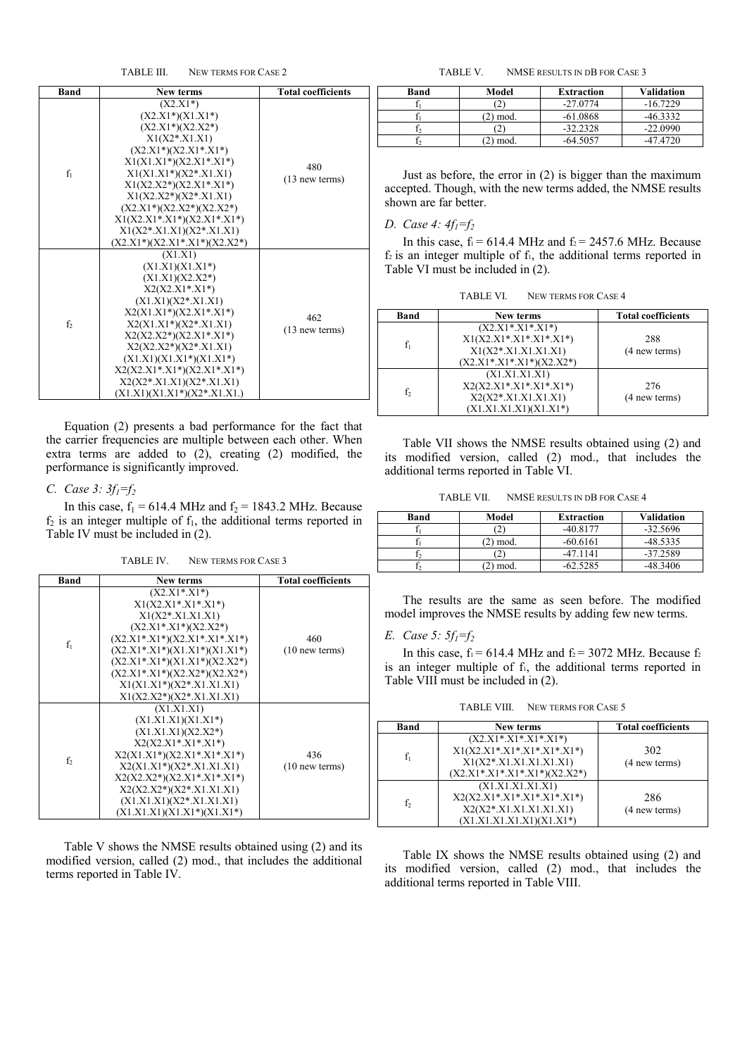TABLE III. NEW TERMS FOR CASE 2

| Band  | New terms                                                                                                                                                                                                                                                                                                                                         | <b>Total coefficients</b> |
|-------|---------------------------------------------------------------------------------------------------------------------------------------------------------------------------------------------------------------------------------------------------------------------------------------------------------------------------------------------------|---------------------------|
| $f_1$ | $(X2.X1*)$<br>$(X2.X1*)(X1.X1*)$<br>$(X2.X1*)(X2.X2*)$<br>$X1(X2*.X1.X1)$<br>$(X2.X1*)(X2.X1*.X1*)$<br>$X1(X1.X1*)(X2.X1*.X1*)$<br>$X1(X1.X1*)(X2*.X1.X1)$<br>$X1(X2.X2*)(X2.X1*.X1*)$<br>$X1(X2.X2*)(X2*.X1.X1)$<br>$(X2.X1*)(X2.X2*)(X2.X2*)$<br>$X1(X2.X1*.X1*)(X2.X1*.X1*)$<br>$X1(X2^*.X1.X1)(X2^*.X1.X1)$<br>$(X2.X1*)(X2.X1*.X1*)(X2.X2*)$ | 480<br>$(13$ new terms)   |
| f,    | (X1.X1)<br>$(X1.X1)(X1.X1*)$<br>$(X1.X1)(X2.X2*)$<br>$X2(X2.X1*.X1*)$<br>$(X1.X1)(X2*.X1.X1)$<br>$X2(X1.X1*)(X2.X1*.X1*)$<br>$X2(X1.X1*)(X2*.X1.X1)$<br>$X2(X2.X2*)(X2.X1*.X1*)$<br>$X2(X2.X2*)(X2*.X1.X1)$<br>$(X1.X1)(X1.X1*)(X1.X1*)$<br>$X2(X2.X1*.X1*)(X2.X1*.X1*)$<br>$X2(X2*.X1.X1)(X2*.X1.X1)$<br>$(X1.X1)(X1.X1*)(X2*.X1.X1.)$           | 462<br>$(13$ new terms)   |

Equation (2) presents a bad performance for the fact that the carrier frequencies are multiple between each other. When extra terms are added to (2), creating (2) modified, the performance is significantly improved.

## *C. Case 3: 3f1=f<sup>2</sup>*

In this case,  $f_1 = 614.4 \text{ MHz}$  and  $f_2 = 1843.2 \text{ MHz}$ . Because  $f_2$  is an integer multiple of  $f_1$ , the additional terms reported in Table IV must be included in (2).

TABLE IV. NEW TERMS FOR CASE 3

| Band  | New terms                                                                                                                                                                                                                                                                                       | <b>Total coefficients</b> |
|-------|-------------------------------------------------------------------------------------------------------------------------------------------------------------------------------------------------------------------------------------------------------------------------------------------------|---------------------------|
| $f_1$ | $(X2.X1*.X1*)$<br>$X1(X2.X1*.X1*.X1*)$<br>$X1(X2^*X1.X1.X1)$<br>$(X2.X1*.X1*)(X2.X2*)$<br>$(X2.X1^*.X1^*)(X2.X1^*.X1^*.X1^*)$<br>$(X2.X1*.X1*)(X1.X1*)(X1.X1*)$<br>$(X2.X1*.X1*)(X1.X1*)(X2.X2*)$<br>$(X2.X1*.X1*)(X2.X2*)(X2.X2*)$<br>$X1(X1.X1*)(X2*.X1.X1.X1)$<br>$X1(X2.X2*)(X2*.X1.X1.X1)$ | 460<br>$(10$ new terms)   |
| f,    | (X1.X1.X1)<br>$(X1.X1.X1)(X1.X1*)$<br>$(X1.X1.X1)(X2.X2*)$<br>$X2(X2.X1*.X1*.X1*)$<br>$X2(X1.X1*)(X2.X1*.X1*.X1*)$<br>$X2(X1.X1*)(X2*.X1.X1.X1)$<br>$X2(X2.X2*)(X2.X1*.X1*.X1*)$<br>$X2(X2.X2*)(X2*.X1.X1.X1)$<br>$(X1.X1.X1)(X2*.X1.X1.X1)$<br>$(X1.X1.X1)(X1.X1*)(X1.X1*)$                    | 436<br>$(10$ new terms)   |

Table V shows the NMSE results obtained using (2) and its modified version, called (2) mod., that includes the additional terms reported in Table IV.

TABLE V. NMSE RESULTS IN DB FOR CASE 3

| Band | Model | <b>Extraction</b> | Validation |
|------|-------|-------------------|------------|
|      |       | $-27.0774$        | $-16.7229$ |
|      | mod.  | $-61.0868$        | -46.3332   |
|      |       | $-32.2328$        | $-22.0990$ |
|      | mod.  | -64 5057          | -47 4720   |

Just as before, the error in (2) is bigger than the maximum accepted. Though, with the new terms added, the NMSE results shown are far better.

## *D. Case 4: 4f1=f<sup>2</sup>*

In this case,  $f_1 = 614.4 \text{ MHz}$  and  $f_2 = 2457.6 \text{ MHz}$ . Because  $f_2$  is an integer multiple of  $f_1$ , the additional terms reported in Table VI must be included in (2).

| <b>TABLE VI.</b> | NEW TERMS FOR CASE 4 |  |
|------------------|----------------------|--|
|------------------|----------------------|--|

| <b>Band</b> | New terms                                                                                             | <b>Total coefficients</b> |
|-------------|-------------------------------------------------------------------------------------------------------|---------------------------|
| $f_1$       | $(X2.X1*.X1*.X1*)$<br>$X1(X2.X1*.X1*.X1*.X1*)$<br>$X1(X2*.X1.X1.X1.X1)$<br>$(X2.X1*.X1*.X1*)(X2.X2*)$ | 288<br>(4 new terms)      |
| $f_2$       | (X1.X1.X1.X1)<br>$X2(X2.X1*.X1*.X1*.X1*)$<br>$X2(X2*.X1.X1.X1.X1)$<br>(X1.X1.X1.X1)(X1.X1*)           | 276<br>(4 new terms)      |

Table VII shows the NMSE results obtained using (2) and its modified version, called (2) mod., that includes the additional terms reported in Table VI.

TABLE VII. NMSE RESULTS IN DB FOR CASE 4

| Band | Model | Extraction | Validation |
|------|-------|------------|------------|
|      | 2     | $-40.8177$ | $-32.5696$ |
|      | mod.  | $-60.6161$ | $-48.5335$ |
|      | 2     | $-47.1141$ | $-37.2589$ |
|      | mod.  | $-62.5285$ | $-48.3406$ |

 The results are the same as seen before. The modified model improves the NMSE results by adding few new terms.

## *E. Case 5: 5f1=f<sup>2</sup>*

In this case,  $f_1 = 614.4 \text{ MHz}$  and  $f_2 = 3072 \text{ MHz}$ . Because  $f_2$ is an integer multiple of f<sub>1</sub>, the additional terms reported in Table VIII must be included in (2).

TABLE VIII. NEW TERMS FOR CASE 5

| <b>Band</b>    | New terms                                                                                                                | <b>Total coefficients</b> |
|----------------|--------------------------------------------------------------------------------------------------------------------------|---------------------------|
|                | $(X2.X1*.X1*.X1*.X1*)$<br>$X1(X2.X1*.X1*.X1*.X1*.X1*.X1*)$<br>$X1(X2*.X1.X1.X1.X1.X1)$<br>$(X2.X1*.X1*.X1*.X1*)(X2.X2*)$ | 302<br>(4 new terms)      |
| f <sub>2</sub> | (X1.X1.X1.X1.X1)<br>$X2(X2.X1*.X1*.X1*.X1*.X1*.X1*)$<br>$X2(X2*.X1.X1.X1.X1.X1)$<br>$(X1.X1.X1.X1.X1)(X1.X1*)$           | 286<br>$(4$ new terms)    |

Table IX shows the NMSE results obtained using (2) and its modified version, called (2) mod., that includes the additional terms reported in Table VIII.